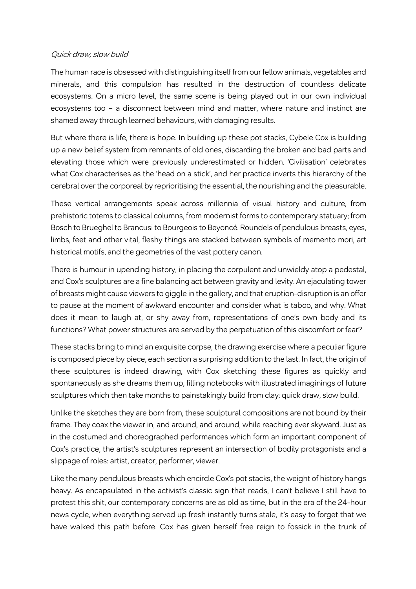## Quick draw, slow build

The human race is obsessed with distinguishing itself from our fellow animals, vegetables and minerals, and this compulsion has resulted in the destruction of countless delicate ecosystems. On a micro level, the same scene is being played out in our own individual ecosystems too – a disconnect between mind and matter, where nature and instinct are shamed away through learned behaviours, with damaging results.

But where there is life, there is hope. In building up these pot stacks, Cybele Cox is building up a new belief system from remnants of old ones, discarding the broken and bad parts and elevating those which were previously underestimated or hidden. 'Civilisation' celebrates what Cox characterises as the 'head on a stick', and her practice inverts this hierarchy of the cerebral over the corporeal by reprioritising the essential, the nourishing and the pleasurable.

These vertical arrangements speak across millennia of visual history and culture, from prehistoric totems to classical columns, from modernist forms to contemporary statuary; from Bosch to Brueghel to Brancusi to Bourgeois to Beyoncé. Roundels of pendulous breasts, eyes, limbs, feet and other vital, fleshy things are stacked between symbols of memento mori, art historical motifs, and the geometries of the vast pottery canon.

There is humour in upending history, in placing the corpulent and unwieldy atop a pedestal, and Cox's sculptures are a fine balancing act between gravity and levity. An ejaculating tower of breasts might cause viewers to giggle in the gallery, and that eruption-disruption is an offer to pause at the moment of awkward encounter and consider what is taboo, and why. What does it mean to laugh at, or shy away from, representations of one's own body and its functions? What power structures are served by the perpetuation of this discomfort or fear?

These stacks bring to mind an exquisite corpse, the drawing exercise where a peculiar figure is composed piece by piece, each section a surprising addition to the last. In fact, the origin of these sculptures is indeed drawing, with Cox sketching these figures as quickly and spontaneously as she dreams them up, filling notebooks with illustrated imaginings of future sculptures which then take months to painstakingly build from clay: quick draw, slow build.

Unlike the sketches they are born from, these sculptural compositions are not bound by their frame. They coax the viewer in, and around, and around, while reaching ever skyward. Just as in the costumed and choreographed performances which form an important component of Cox's practice, the artist's sculptures represent an intersection of bodily protagonists and a slippage of roles: artist, creator, performer, viewer.

Like the many pendulous breasts which encircle Cox's pot stacks, the weight of history hangs heavy. As encapsulated in the activist's classic sign that reads, I can't believe I still have to protest this shit, our contemporary concerns are as old as time, but in the era of the 24-hour news cycle, when everything served up fresh instantly turns stale, it's easy to forget that we have walked this path before. Cox has given herself free reign to fossick in the trunk of